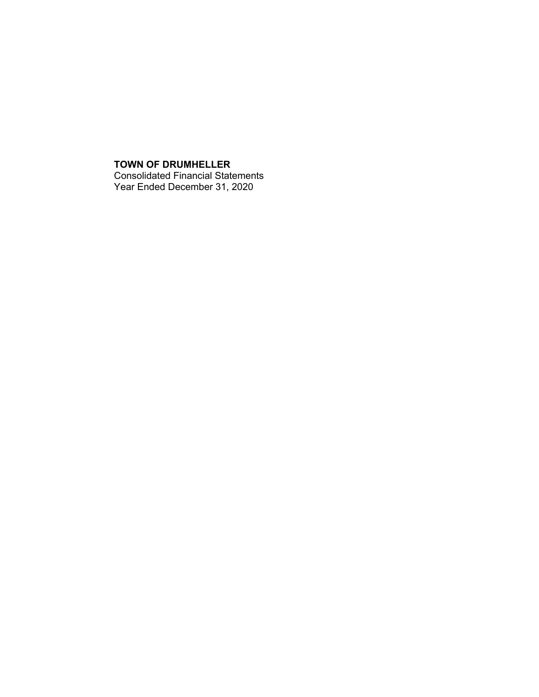## **TOWN OF DRUMHELLER** Consolidated Financial Statements Year Ended December 31, 2020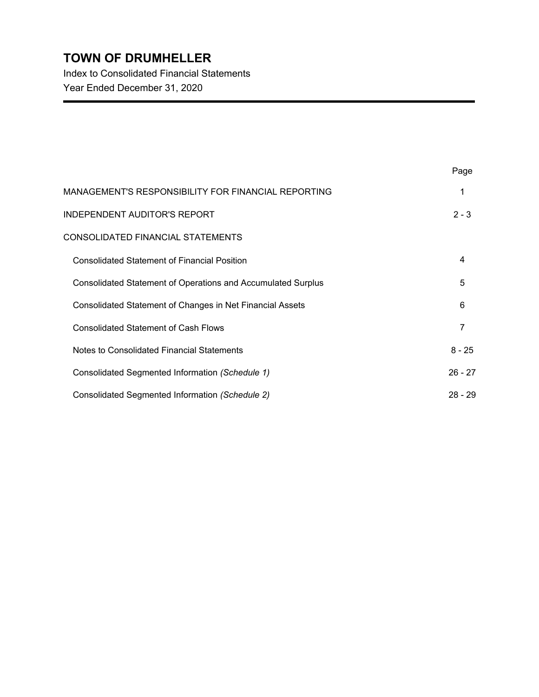Index to Consolidated Financial Statements Year Ended December 31, 2020

|                                                                     | Page      |
|---------------------------------------------------------------------|-----------|
| MANAGEMENT'S RESPONSIBILITY FOR FINANCIAL REPORTING                 | 1         |
| <b>INDEPENDENT AUDITOR'S REPORT</b>                                 | $2 - 3$   |
| CONSOLIDATED FINANCIAL STATEMENTS                                   |           |
| <b>Consolidated Statement of Financial Position</b>                 | 4         |
| <b>Consolidated Statement of Operations and Accumulated Surplus</b> | 5         |
| Consolidated Statement of Changes in Net Financial Assets           | 6         |
| <b>Consolidated Statement of Cash Flows</b>                         | 7         |
| Notes to Consolidated Financial Statements                          | $8 - 25$  |
| Consolidated Segmented Information (Schedule 1)                     | $26 - 27$ |
| Consolidated Segmented Information (Schedule 2)                     | $28 - 29$ |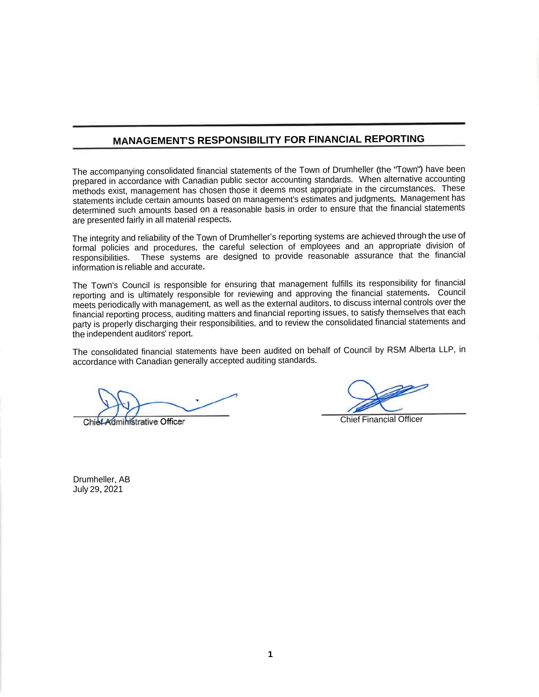## **MANAGEMENT'S RESPONSIBILITY FOR FINANCIAL REPORTING**

The accompanying consolidated financial statements of the Town of Drumheller (the "Town") have been prepared in accordance with Canadian public sector accounting standards. When alternative accounting methods exist, managemen<sup>t</sup> has chosen those it deems most appropriate in the circumstances. These statements include certain amounts based on management'<sup>s</sup> estimates and judgments. Management has determined such amounts based on <sup>a</sup> reasonable basis in order to ensure that the financial statements are presented fairly in all material respects.

The integrity and reliability of the Town of Drumheller'<sup>s</sup> reporting systems are achieved through the use of formal policies and procedures, the careful selection of employees and an appropriate division of responsibilities. These systems are designed to provide reasonable assurance that the financial information is reliable and accurate.

The Town'<sup>s</sup> Council is responsible for ensuring that managemen<sup>t</sup> fulfills its responsibility for financial reporting and is ultimately responsible for reviewing and approving the financial statements. Council meets periodically with management, as well as the external auditors, to discuss internal controls over the financial reporting process, auditing matters and financial reporting issues, to satisfy themselves that each party is properly discharging their responsibilities, and to review the consolidated financial statements and the independent auditors' report.

The consolidated financial statements have been audited on behalf of Council by RSM Alberta LLP, in accordance with Canadian generally accepted auditing standards.

Chief Administrative Officer

Chief Financial Officer

Drumheller, AB July 29, 2021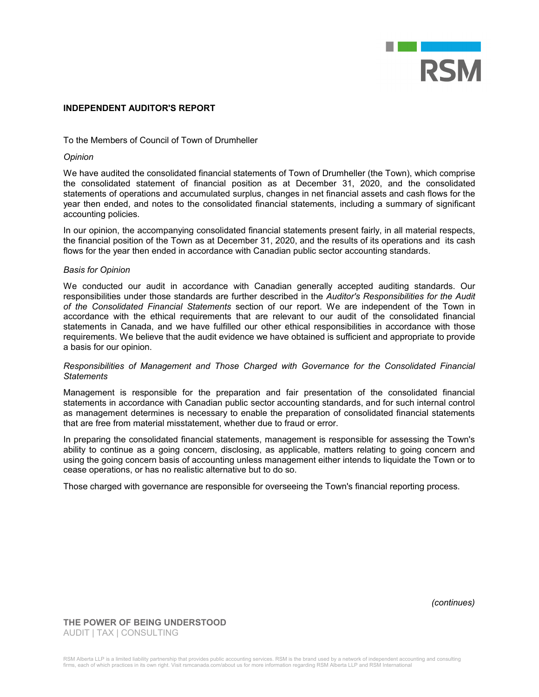

#### **INDEPENDENT AUDITOR'S REPORT**

### To the Members of Council of Town of Drumheller

#### *Opinion*

We have audited the consolidated financial statements of Town of Drumheller (the Town), which comprise the consolidated statement of financial position as at December 31, 2020, and the consolidated statements of operations and accumulated surplus, changes in net financial assets and cash flows for the year then ended, and notes to the consolidated financial statements, including a summary of significant accounting policies.

In our opinion, the accompanying consolidated financial statements present fairly, in all material respects, the financial position of the Town as at December 31, 2020, and the results of its operations and its cash flows for the year then ended in accordance with Canadian public sector accounting standards.

#### *Basis for Opinion*

We conducted our audit in accordance with Canadian generally accepted auditing standards. Our responsibilities under those standards are further described in the *Auditor's Responsibilities for the Audit of the Consolidated Financial Statements* section of our report. We are independent of the Town in accordance with the ethical requirements that are relevant to our audit of the consolidated financial statements in Canada, and we have fulfilled our other ethical responsibilities in accordance with those requirements. We believe that the audit evidence we have obtained is sufficient and appropriate to provide a basis for our opinion.

#### *Responsibilities of Management and Those Charged with Governance for the Consolidated Financial Statements*

Management is responsible for the preparation and fair presentation of the consolidated financial statements in accordance with Canadian public sector accounting standards, and for such internal control as management determines is necessary to enable the preparation of consolidated financial statements that are free from material misstatement, whether due to fraud or error.

In preparing the consolidated financial statements, management is responsible for assessing the Town's ability to continue as a going concern, disclosing, as applicable, matters relating to going concern and using the going concern basis of accounting unless management either intends to liquidate the Town or to cease operations, or has no realistic alternative but to do so.

Those charged with governance are responsible for overseeing the Town's financial reporting process.

*(continues)*

**THE POWER OF BEING UNDERSTOOD** AUDIT | TAX | CONSULTING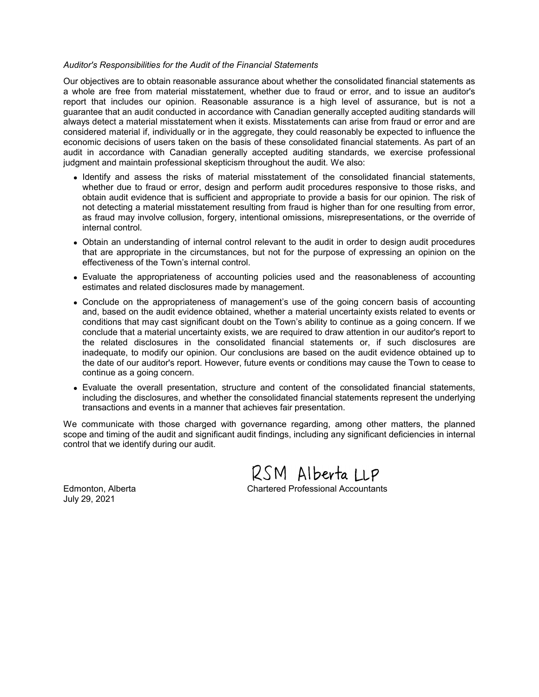#### *Auditor's Responsibilities for the Audit of the Financial Statements*

Our objectives are to obtain reasonable assurance about whether the consolidated financial statements as a whole are free from material misstatement, whether due to fraud or error, and to issue an auditor's report that includes our opinion. Reasonable assurance is a high level of assurance, but is not a guarantee that an audit conducted in accordance with Canadian generally accepted auditing standards will always detect a material misstatement when it exists. Misstatements can arise from fraud or error and are considered material if, individually or in the aggregate, they could reasonably be expected to influence the economic decisions of users taken on the basis of these consolidated financial statements. As part of an audit in accordance with Canadian generally accepted auditing standards, we exercise professional judgment and maintain professional skepticism throughout the audit. We also:

- Identify and assess the risks of material misstatement of the consolidated financial statements, whether due to fraud or error, design and perform audit procedures responsive to those risks, and obtain audit evidence that is sufficient and appropriate to provide a basis for our opinion. The risk of not detecting a material misstatement resulting from fraud is higher than for one resulting from error, as fraud may involve collusion, forgery, intentional omissions, misrepresentations, or the override of internal control.
- Obtain an understanding of internal control relevant to the audit in order to design audit procedures that are appropriate in the circumstances, but not for the purpose of expressing an opinion on the effectiveness of the Town's internal control.
- Evaluate the appropriateness of accounting policies used and the reasonableness of accounting estimates and related disclosures made by management.
- Conclude on the appropriateness of management's use of the going concern basis of accounting and, based on the audit evidence obtained, whether a material uncertainty exists related to events or conditions that may cast significant doubt on the Town's ability to continue as a going concern. If we conclude that a material uncertainty exists, we are required to draw attention in our auditor's report to the related disclosures in the consolidated financial statements or, if such disclosures are inadequate, to modify our opinion. Our conclusions are based on the audit evidence obtained up to the date of our auditor's report. However, future events or conditions may cause the Town to cease to continue as a going concern.
- Evaluate the overall presentation, structure and content of the consolidated financial statements, including the disclosures, and whether the consolidated financial statements represent the underlying transactions and events in a manner that achieves fair presentation.

We communicate with those charged with governance regarding, among other matters, the planned scope and timing of the audit and significant audit findings, including any significant deficiencies in internal control that we identify during our audit.

RSM Alberta LLP

July 29, 2021

Edmonton, Alberta Chartered Professional Accountants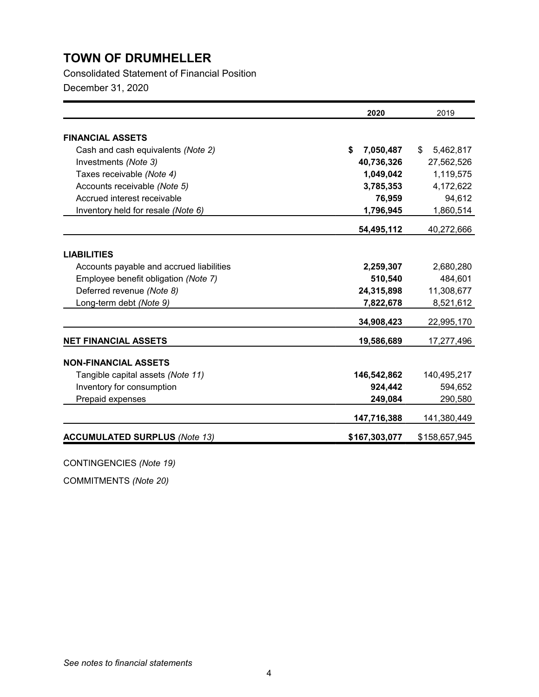Consolidated Statement of Financial Position

December 31, 2020

|                                          | 2020            | 2019            |
|------------------------------------------|-----------------|-----------------|
|                                          |                 |                 |
| <b>FINANCIAL ASSETS</b>                  |                 |                 |
| Cash and cash equivalents (Note 2)       | \$<br>7,050,487 | 5,462,817<br>\$ |
| Investments (Note 3)                     | 40,736,326      | 27,562,526      |
| Taxes receivable (Note 4)                | 1,049,042       | 1,119,575       |
| Accounts receivable (Note 5)             | 3,785,353       | 4,172,622       |
| Accrued interest receivable              | 76,959          | 94,612          |
| Inventory held for resale (Note 6)       | 1,796,945       | 1,860,514       |
|                                          | 54,495,112      | 40,272,666      |
|                                          |                 |                 |
| <b>LIABILITIES</b>                       |                 |                 |
| Accounts payable and accrued liabilities | 2,259,307       | 2,680,280       |
| Employee benefit obligation (Note 7)     | 510,540         | 484,601         |
| Deferred revenue (Note 8)                | 24,315,898      | 11,308,677      |
| Long-term debt (Note 9)                  | 7,822,678       | 8,521,612       |
|                                          | 34,908,423      | 22,995,170      |
| <b>NET FINANCIAL ASSETS</b>              | 19,586,689      | 17,277,496      |
| <b>NON-FINANCIAL ASSETS</b>              |                 |                 |
| Tangible capital assets (Note 11)        | 146,542,862     | 140,495,217     |
| Inventory for consumption                | 924,442         | 594,652         |
| Prepaid expenses                         | 249,084         | 290,580         |
|                                          |                 |                 |
|                                          | 147,716,388     | 141,380,449     |
| <b>ACCUMULATED SURPLUS (Note 13)</b>     | \$167,303,077   | \$158,657,945   |

CONTINGENCIES *(Note 19)*

COMMITMENTS *(Note 20)*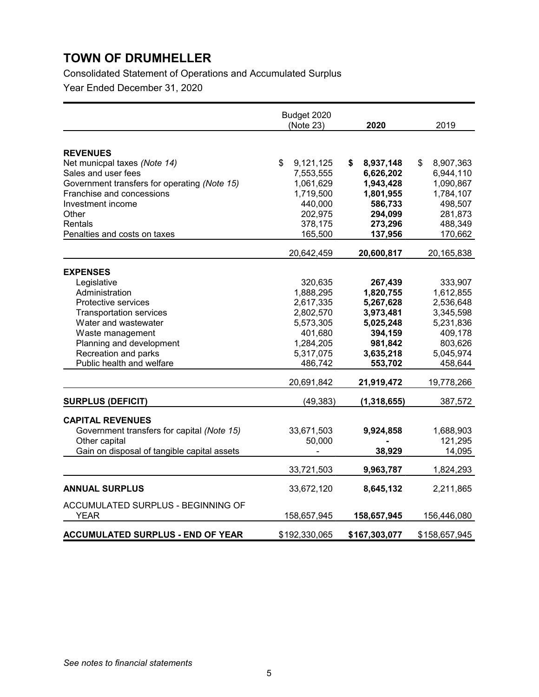Consolidated Statement of Operations and Accumulated Surplus

Year Ended December 31, 2020

|                                                                                                                                                                                                                                        | Budget 2020<br>(Note 23)                                                                                                  | 2020                                                                                                                    | 2019                                                                                                                    |
|----------------------------------------------------------------------------------------------------------------------------------------------------------------------------------------------------------------------------------------|---------------------------------------------------------------------------------------------------------------------------|-------------------------------------------------------------------------------------------------------------------------|-------------------------------------------------------------------------------------------------------------------------|
| <b>REVENUES</b><br>Net municpal taxes (Note 14)<br>Sales and user fees<br>Government transfers for operating (Note 15)<br>Franchise and concessions<br>Investment income<br>Other<br>Rentals<br>Penalties and costs on taxes           | \$<br>9,121,125<br>7,553,555<br>1,061,629<br>1,719,500<br>440,000<br>202,975<br>378,175<br>165,500                        | 8,937,148<br>S.<br>6,626,202<br>1,943,428<br>1,801,955<br>586,733<br>294,099<br>273,296<br>137,956                      | 8,907,363<br>\$<br>6,944,110<br>1,090,867<br>1,784,107<br>498,507<br>281,873<br>488,349<br>170,662                      |
|                                                                                                                                                                                                                                        | 20,642,459                                                                                                                | 20,600,817                                                                                                              | 20,165,838                                                                                                              |
| <b>EXPENSES</b><br>Legislative<br>Administration<br>Protective services<br><b>Transportation services</b><br>Water and wastewater<br>Waste management<br>Planning and development<br>Recreation and parks<br>Public health and welfare | 320,635<br>1,888,295<br>2,617,335<br>2,802,570<br>5,573,305<br>401,680<br>1,284,205<br>5,317,075<br>486,742<br>20,691,842 | 267,439<br>1,820,755<br>5,267,628<br>3,973,481<br>5,025,248<br>394,159<br>981,842<br>3,635,218<br>553,702<br>21,919,472 | 333,907<br>1,612,855<br>2,536,648<br>3,345,598<br>5,231,836<br>409,178<br>803,626<br>5,045,974<br>458,644<br>19,778,266 |
| <b>SURPLUS (DEFICIT)</b><br><b>CAPITAL REVENUES</b><br>Government transfers for capital (Note 15)<br>Other capital<br>Gain on disposal of tangible capital assets                                                                      | (49, 383)<br>33,671,503<br>50,000<br>33,721,503                                                                           | (1, 318, 655)<br>9,924,858<br>38,929<br>9,963,787                                                                       | 387,572<br>1,688,903<br>121,295<br>14,095<br>1,824,293                                                                  |
| <b>ANNUAL SURPLUS</b><br>ACCUMULATED SURPLUS - BEGINNING OF<br><b>YEAR</b>                                                                                                                                                             | 33,672,120<br>158,657,945                                                                                                 | 8,645,132<br>158,657,945                                                                                                | 2,211,865<br>156,446,080                                                                                                |
| <b>ACCUMULATED SURPLUS - END OF YEAR</b>                                                                                                                                                                                               | \$192,330,065                                                                                                             | \$167,303,077                                                                                                           | \$158,657,945                                                                                                           |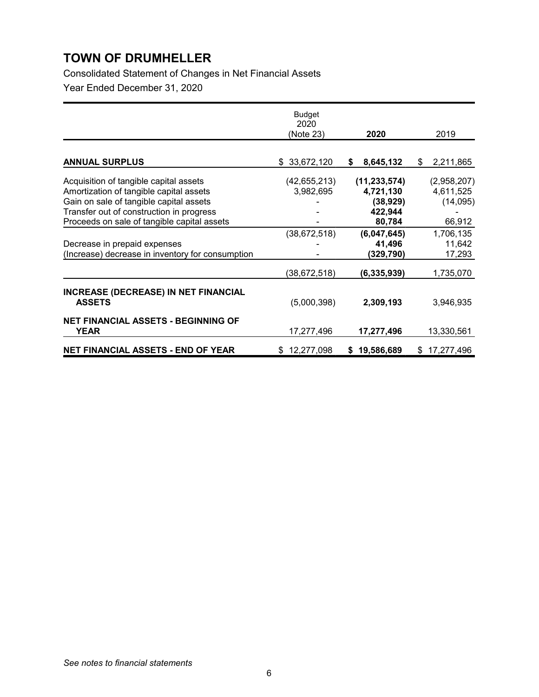Consolidated Statement of Changes in Net Financial Assets Year Ended December 31, 2020

|                                                              | <b>Budget</b><br>2020<br>(Note 23) | 2020             | 2019            |
|--------------------------------------------------------------|------------------------------------|------------------|-----------------|
| <b>ANNUAL SURPLUS</b>                                        | \$33,672,120                       | 8,645,132<br>\$  | \$<br>2,211,865 |
|                                                              |                                    |                  |                 |
| Acquisition of tangible capital assets                       | (42,655,213)                       | (11, 233, 574)   | (2,958,207)     |
| Amortization of tangible capital assets                      | 3,982,695                          | 4,721,130        | 4,611,525       |
| Gain on sale of tangible capital assets                      |                                    | (38, 929)        | (14,095)        |
| Transfer out of construction in progress                     |                                    | 422,944          |                 |
| Proceeds on sale of tangible capital assets                  |                                    | 80,784           | 66,912          |
|                                                              | (38, 672, 518)                     | (6,047,645)      | 1,706,135       |
| Decrease in prepaid expenses                                 |                                    | 41,496           | 11,642          |
| (Increase) decrease in inventory for consumption             |                                    | (329,790)        | 17,293          |
|                                                              | (38,672,518)                       | (6,335,939)      | 1,735,070       |
| <b>INCREASE (DECREASE) IN NET FINANCIAL</b><br><b>ASSETS</b> | (5,000,398)                        | 2,309,193        | 3,946,935       |
| <b>NET FINANCIAL ASSETS - BEGINNING OF</b><br>YEAR           | 17,277,496                         | 17,277,496       | 13,330,561      |
| NET FINANCIAL ASSETS - END OF YEAR                           | \$12,277,098                       | 19,586,689<br>S. | \$17,277,496    |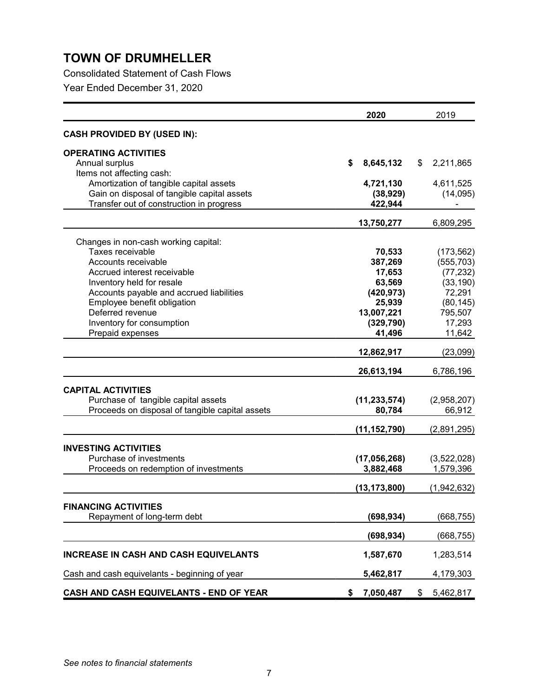Consolidated Statement of Cash Flows

Year Ended December 31, 2020

| 2020                                            |    | 2019           |    |             |
|-------------------------------------------------|----|----------------|----|-------------|
| <b>CASH PROVIDED BY (USED IN):</b>              |    |                |    |             |
| <b>OPERATING ACTIVITIES</b>                     |    |                |    |             |
| Annual surplus                                  | S  | 8,645,132      | \$ | 2,211,865   |
| Items not affecting cash:                       |    |                |    |             |
| Amortization of tangible capital assets         |    | 4,721,130      |    | 4,611,525   |
| Gain on disposal of tangible capital assets     |    | (38, 929)      |    | (14,095)    |
| Transfer out of construction in progress        |    | 422,944        |    |             |
|                                                 |    | 13,750,277     |    | 6,809,295   |
| Changes in non-cash working capital:            |    |                |    |             |
| Taxes receivable                                |    | 70,533         |    | (173, 562)  |
| Accounts receivable                             |    | 387,269        |    | (555, 703)  |
| Accrued interest receivable                     |    | 17,653         |    | (77, 232)   |
| Inventory held for resale                       |    | 63,569         |    | (33, 190)   |
| Accounts payable and accrued liabilities        |    | (420, 973)     |    | 72,291      |
| Employee benefit obligation                     |    | 25,939         |    | (80, 145)   |
| Deferred revenue                                |    | 13,007,221     |    | 795,507     |
| Inventory for consumption                       |    | (329, 790)     |    | 17,293      |
| Prepaid expenses                                |    | 41,496         |    | 11,642      |
|                                                 |    | 12,862,917     |    | (23,099)    |
|                                                 |    | 26,613,194     |    | 6,786,196   |
| <b>CAPITAL ACTIVITIES</b>                       |    |                |    |             |
| Purchase of tangible capital assets             |    | (11, 233, 574) |    | (2,958,207) |
| Proceeds on disposal of tangible capital assets |    | 80,784         |    | 66,912      |
|                                                 |    |                |    |             |
|                                                 |    | (11, 152, 790) |    | (2,891,295) |
| <b>INVESTING ACTIVITIES</b>                     |    |                |    |             |
| Purchase of investments                         |    | (17,056,268)   |    | (3,522,028) |
| Proceeds on redemption of investments           |    | 3,882,468      |    | 1,579,396   |
|                                                 |    | (13, 173, 800) |    | (1,942,632) |
| <b>FINANCING ACTIVITIES</b>                     |    |                |    |             |
| Repayment of long-term debt                     |    | (698, 934)     |    | (668,755)   |
|                                                 |    |                |    |             |
|                                                 |    | (698, 934)     |    | (668, 755)  |
| <b>INCREASE IN CASH AND CASH EQUIVELANTS</b>    |    | 1,587,670      |    | 1,283,514   |
| Cash and cash equivelants - beginning of year   |    | 5,462,817      |    | 4,179,303   |
| CASH AND CASH EQUIVELANTS - END OF YEAR         | \$ | 7,050,487      | \$ | 5,462,817   |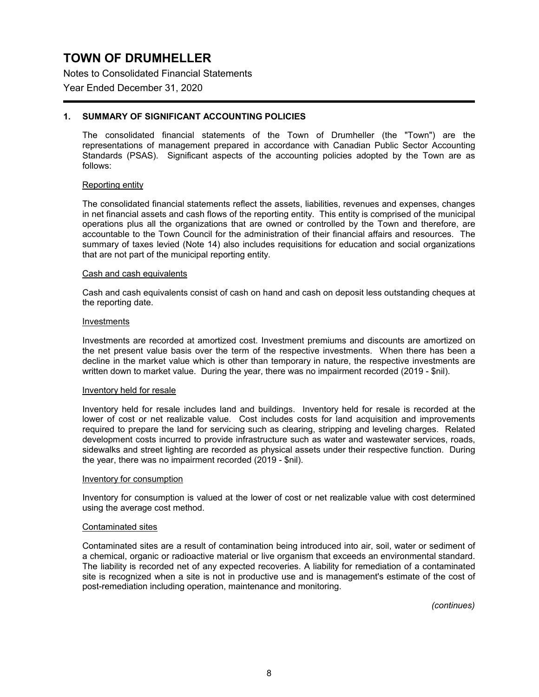Notes to Consolidated Financial Statements

### Year Ended December 31, 2020

### **1. SUMMARY OF SIGNIFICANT ACCOUNTING POLICIES**

The consolidated financial statements of the Town of Drumheller (the "Town") are the representations of management prepared in accordance with Canadian Public Sector Accounting Standards (PSAS). Significant aspects of the accounting policies adopted by the Town are as follows:

#### Reporting entity

The consolidated financial statements reflect the assets, liabilities, revenues and expenses, changes in net financial assets and cash flows of the reporting entity. This entity is comprised of the municipal operations plus all the organizations that are owned or controlled by the Town and therefore, are accountable to the Town Council for the administration of their financial affairs and resources. The summary of taxes levied (Note 14) also includes requisitions for education and social organizations that are not part of the municipal reporting entity.

#### Cash and cash equivalents

Cash and cash equivalents consist of cash on hand and cash on deposit less outstanding cheques at the reporting date.

#### Investments

Investments are recorded at amortized cost. Investment premiums and discounts are amortized on the net present value basis over the term of the respective investments. When there has been a decline in the market value which is other than temporary in nature, the respective investments are written down to market value. During the year, there was no impairment recorded (2019 - \$nil).

#### Inventory held for resale

Inventory held for resale includes land and buildings. Inventory held for resale is recorded at the lower of cost or net realizable value. Cost includes costs for land acquisition and improvements required to prepare the land for servicing such as clearing, stripping and leveling charges. Related development costs incurred to provide infrastructure such as water and wastewater services, roads, sidewalks and street lighting are recorded as physical assets under their respective function. During the year, there was no impairment recorded (2019 - \$nil).

#### Inventory for consumption

Inventory for consumption is valued at the lower of cost or net realizable value with cost determined using the average cost method.

#### Contaminated sites

Contaminated sites are a result of contamination being introduced into air, soil, water or sediment of a chemical, organic or radioactive material or live organism that exceeds an environmental standard. The liability is recorded net of any expected recoveries. A liability for remediation of a contaminated site is recognized when a site is not in productive use and is management's estimate of the cost of post-remediation including operation, maintenance and monitoring.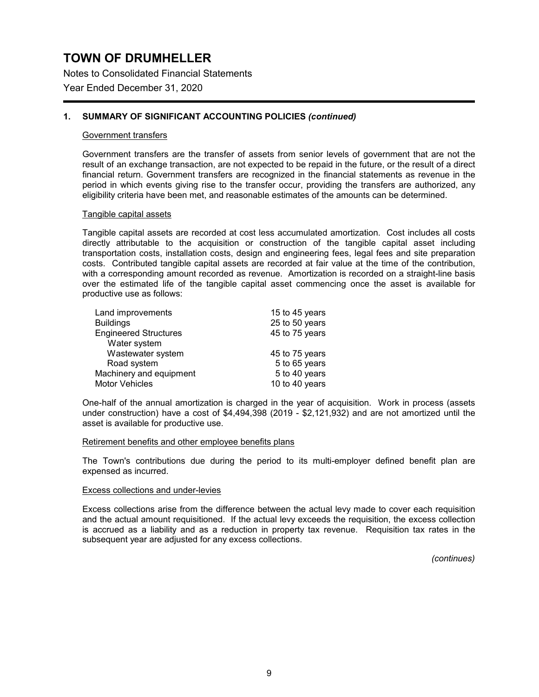Notes to Consolidated Financial Statements

Year Ended December 31, 2020

### **1. SUMMARY OF SIGNIFICANT ACCOUNTING POLICIES** *(continued)*

#### Government transfers

Government transfers are the transfer of assets from senior levels of government that are not the result of an exchange transaction, are not expected to be repaid in the future, or the result of a direct financial return. Government transfers are recognized in the financial statements as revenue in the period in which events giving rise to the transfer occur, providing the transfers are authorized, any eligibility criteria have been met, and reasonable estimates of the amounts can be determined.

#### Tangible capital assets

Tangible capital assets are recorded at cost less accumulated amortization. Cost includes all costs directly attributable to the acquisition or construction of the tangible capital asset including transportation costs, installation costs, design and engineering fees, legal fees and site preparation costs. Contributed tangible capital assets are recorded at fair value at the time of the contribution, with a corresponding amount recorded as revenue. Amortization is recorded on a straight-line basis over the estimated life of the tangible capital asset commencing once the asset is available for productive use as follows:

| Land improvements            | 15 to 45 years |
|------------------------------|----------------|
| <b>Buildings</b>             | 25 to 50 years |
| <b>Engineered Structures</b> | 45 to 75 years |
| Water system                 |                |
| Wastewater system            | 45 to 75 years |
| Road system                  | 5 to 65 years  |
| Machinery and equipment      | 5 to 40 years  |
| <b>Motor Vehicles</b>        | 10 to 40 years |

One-half of the annual amortization is charged in the year of acquisition. Work in process (assets under construction) have a cost of \$4,494,398 (2019 - \$2,121,932) and are not amortized until the asset is available for productive use.

#### Retirement benefits and other employee benefits plans

The Town's contributions due during the period to its multi-employer defined benefit plan are expensed as incurred.

### Excess collections and under-levies

Excess collections arise from the difference between the actual levy made to cover each requisition and the actual amount requisitioned. If the actual levy exceeds the requisition, the excess collection is accrued as a liability and as a reduction in property tax revenue. Requisition tax rates in the subsequent year are adjusted for any excess collections.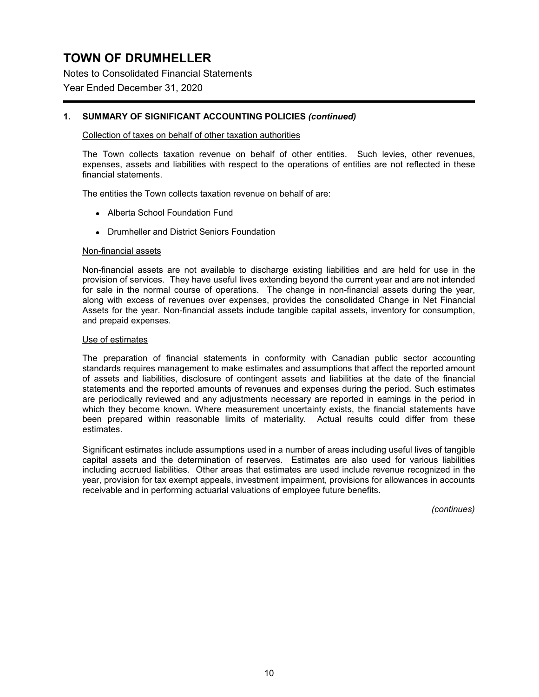Notes to Consolidated Financial Statements

Year Ended December 31, 2020

### **1. SUMMARY OF SIGNIFICANT ACCOUNTING POLICIES** *(continued)*

### Collection of taxes on behalf of other taxation authorities

The Town collects taxation revenue on behalf of other entities. Such levies, other revenues, expenses, assets and liabilities with respect to the operations of entities are not reflected in these financial statements.

The entities the Town collects taxation revenue on behalf of are:

- Alberta School Foundation Fund
- Drumheller and District Seniors Foundation

#### Non-financial assets

Non-financial assets are not available to discharge existing liabilities and are held for use in the provision of services. They have useful lives extending beyond the current year and are not intended for sale in the normal course of operations. The change in non-financial assets during the year, along with excess of revenues over expenses, provides the consolidated Change in Net Financial Assets for the year. Non-financial assets include tangible capital assets, inventory for consumption, and prepaid expenses.

### Use of estimates

The preparation of financial statements in conformity with Canadian public sector accounting standards requires management to make estimates and assumptions that affect the reported amount of assets and liabilities, disclosure of contingent assets and liabilities at the date of the financial statements and the reported amounts of revenues and expenses during the period. Such estimates are periodically reviewed and any adjustments necessary are reported in earnings in the period in which they become known. Where measurement uncertainty exists, the financial statements have been prepared within reasonable limits of materiality. Actual results could differ from these estimates.

Significant estimates include assumptions used in a number of areas including useful lives of tangible capital assets and the determination of reserves. Estimates are also used for various liabilities including accrued liabilities. Other areas that estimates are used include revenue recognized in the year, provision for tax exempt appeals, investment impairment, provisions for allowances in accounts receivable and in performing actuarial valuations of employee future benefits.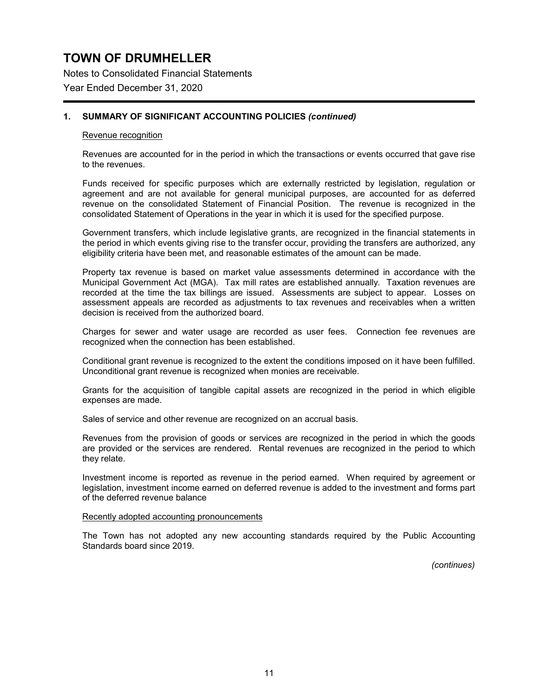Notes to Consolidated Financial Statements Year Ended December 31, 2020

## **1. SUMMARY OF SIGNIFICANT ACCOUNTING POLICIES** *(continued)*

#### Revenue recognition

Revenues are accounted for in the period in which the transactions or events occurred that gave rise to the revenues.

Funds received for specific purposes which are externally restricted by legislation, regulation or agreement and are not available for general municipal purposes, are accounted for as deferred revenue on the consolidated Statement of Financial Position. The revenue is recognized in the consolidated Statement of Operations in the year in which it is used for the specified purpose.

Government transfers, which include legislative grants, are recognized in the financial statements in the period in which events giving rise to the transfer occur, providing the transfers are authorized, any eligibility criteria have been met, and reasonable estimates of the amount can be made.

Property tax revenue is based on market value assessments determined in accordance with the Municipal Government Act (MGA). Tax mill rates are established annually. Taxation revenues are recorded at the time the tax billings are issued. Assessments are subject to appear. Losses on assessment appeals are recorded as adjustments to tax revenues and receivables when a written decision is received from the authorized board.

Charges for sewer and water usage are recorded as user fees. Connection fee revenues are recognized when the connection has been established.

Conditional grant revenue is recognized to the extent the conditions imposed on it have been fulfilled. Unconditional grant revenue is recognized when monies are receivable.

Grants for the acquisition of tangible capital assets are recognized in the period in which eligible expenses are made.

Sales of service and other revenue are recognized on an accrual basis.

Revenues from the provision of goods or services are recognized in the period in which the goods are provided or the services are rendered. Rental revenues are recognized in the period to which they relate.

Investment income is reported as revenue in the period earned. When required by agreement or legislation, investment income earned on deferred revenue is added to the investment and forms part of the deferred revenue balance

#### Recently adopted accounting pronouncements

The Town has not adopted any new accounting standards required by the Public Accounting Standards board since 2019.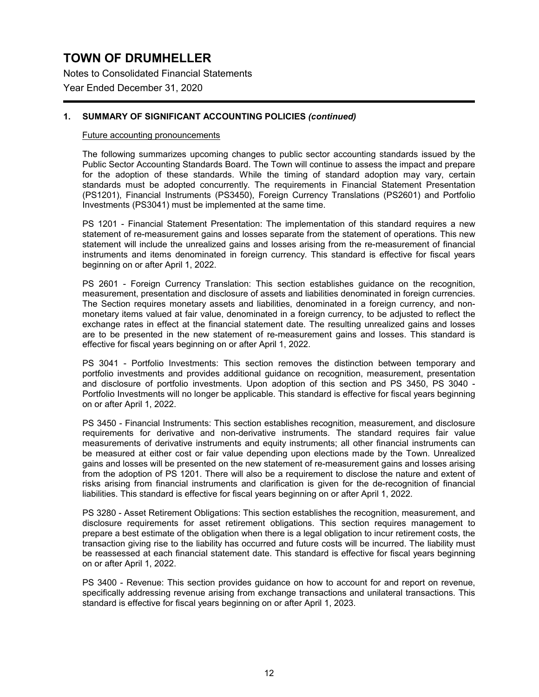Notes to Consolidated Financial Statements Year Ended December 31, 2020

### **1. SUMMARY OF SIGNIFICANT ACCOUNTING POLICIES** *(continued)*

#### Future accounting pronouncements

The following summarizes upcoming changes to public sector accounting standards issued by the Public Sector Accounting Standards Board. The Town will continue to assess the impact and prepare for the adoption of these standards. While the timing of standard adoption may vary, certain standards must be adopted concurrently. The requirements in Financial Statement Presentation (PS1201), Financial Instruments (PS3450), Foreign Currency Translations (PS2601) and Portfolio Investments (PS3041) must be implemented at the same time.

PS 1201 - Financial Statement Presentation: The implementation of this standard requires a new statement of re-measurement gains and losses separate from the statement of operations. This new statement will include the unrealized gains and losses arising from the re-measurement of financial instruments and items denominated in foreign currency. This standard is effective for fiscal years beginning on or after April 1, 2022.

PS 2601 - Foreign Currency Translation: This section establishes guidance on the recognition, measurement, presentation and disclosure of assets and liabilities denominated in foreign currencies. The Section requires monetary assets and liabilities, denominated in a foreign currency, and nonmonetary items valued at fair value, denominated in a foreign currency, to be adjusted to reflect the exchange rates in effect at the financial statement date. The resulting unrealized gains and losses are to be presented in the new statement of re-measurement gains and losses. This standard is effective for fiscal years beginning on or after April 1, 2022.

PS 3041 - Portfolio Investments: This section removes the distinction between temporary and portfolio investments and provides additional guidance on recognition, measurement, presentation and disclosure of portfolio investments. Upon adoption of this section and PS 3450, PS 3040 - Portfolio Investments will no longer be applicable. This standard is effective for fiscal years beginning on or after April 1, 2022.

PS 3450 - Financial Instruments: This section establishes recognition, measurement, and disclosure requirements for derivative and non-derivative instruments. The standard requires fair value measurements of derivative instruments and equity instruments; all other financial instruments can be measured at either cost or fair value depending upon elections made by the Town. Unrealized gains and losses will be presented on the new statement of re-measurement gains and losses arising from the adoption of PS 1201. There will also be a requirement to disclose the nature and extent of risks arising from financial instruments and clarification is given for the de-recognition of financial liabilities. This standard is effective for fiscal years beginning on or after April 1, 2022.

PS 3280 - Asset Retirement Obligations: This section establishes the recognition, measurement, and disclosure requirements for asset retirement obligations. This section requires management to prepare a best estimate of the obligation when there is a legal obligation to incur retirement costs, the transaction giving rise to the liability has occurred and future costs will be incurred. The liability must be reassessed at each financial statement date. This standard is effective for fiscal years beginning on or after April 1, 2022.

PS 3400 - Revenue: This section provides guidance on how to account for and report on revenue, specifically addressing revenue arising from exchange transactions and unilateral transactions. This standard is effective for fiscal years beginning on or after April 1, 2023.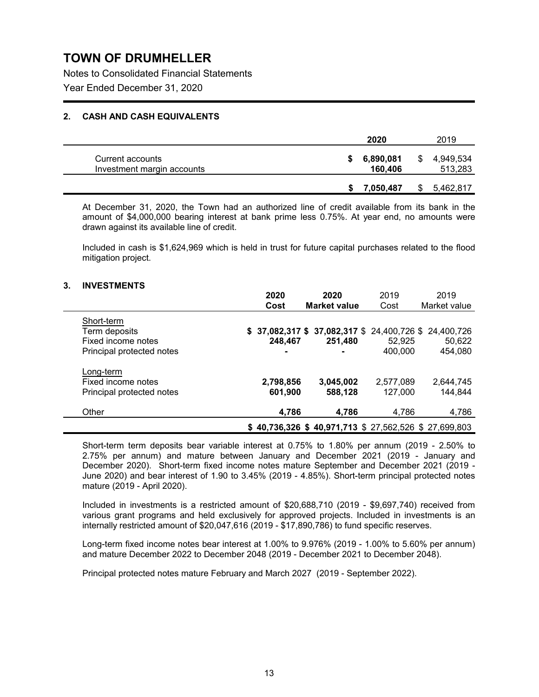Notes to Consolidated Financial Statements Year Ended December 31, 2020

### **2. CASH AND CASH EQUIVALENTS**

|                                                | 2020                 | 2019                       |
|------------------------------------------------|----------------------|----------------------------|
| Current accounts<br>Investment margin accounts | 6,890,081<br>160,406 | \$<br>4,949,534<br>513,283 |
|                                                | 7,050,487            | 5,462,817                  |

At December 31, 2020, the Town had an authorized line of credit available from its bank in the amount of \$4,000,000 bearing interest at bank prime less 0.75%. At year end, no amounts were drawn against its available line of credit.

Included in cash is \$1,624,969 which is held in trust for future capital purchases related to the flood mitigation project.

### **3. INVESTMENTS**

|                           | 2020      | 2020                                                    | 2019      | 2019         |
|---------------------------|-----------|---------------------------------------------------------|-----------|--------------|
|                           | Cost      | <b>Market value</b>                                     | Cost      | Market value |
| Short-term                |           |                                                         |           |              |
| Term deposits             |           | $$37,082,317$ $$37,082,317$ $$24,400,726$ $$24,400,726$ |           |              |
| Fixed income notes        | 248,467   | 251,480                                                 | 52.925    | 50,622       |
| Principal protected notes |           | $\blacksquare$                                          | 400,000   | 454,080      |
| Long-term                 |           |                                                         |           |              |
| Fixed income notes        | 2,798,856 | 3,045,002                                               | 2,577,089 | 2,644,745    |
| Principal protected notes | 601,900   | 588,128                                                 | 127,000   | 144,844      |
| Other                     | 4,786     | 4.786                                                   | 4,786     | 4,786        |
|                           |           | $$40,736,326$ $$40,971,713$ $$27,562,526$ $$27,699,803$ |           |              |

Short-term term deposits bear variable interest at 0.75% to 1.80% per annum (2019 - 2.50% to 2.75% per annum) and mature between January and December 2021 (2019 - January and December 2020). Short-term fixed income notes mature September and December 2021 (2019 - June 2020) and bear interest of 1.90 to 3.45% (2019 - 4.85%). Short-term principal protected notes mature (2019 - April 2020).

Included in investments is a restricted amount of \$20,688,710 (2019 - \$9,697,740) received from various grant programs and held exclusively for approved projects. Included in investments is an internally restricted amount of \$20,047,616 (2019 - \$17,890,786) to fund specific reserves.

Long-term fixed income notes bear interest at 1.00% to 9.976% (2019 - 1.00% to 5.60% per annum) and mature December 2022 to December 2048 (2019 - December 2021 to December 2048).

Principal protected notes mature February and March 2027 (2019 - September 2022).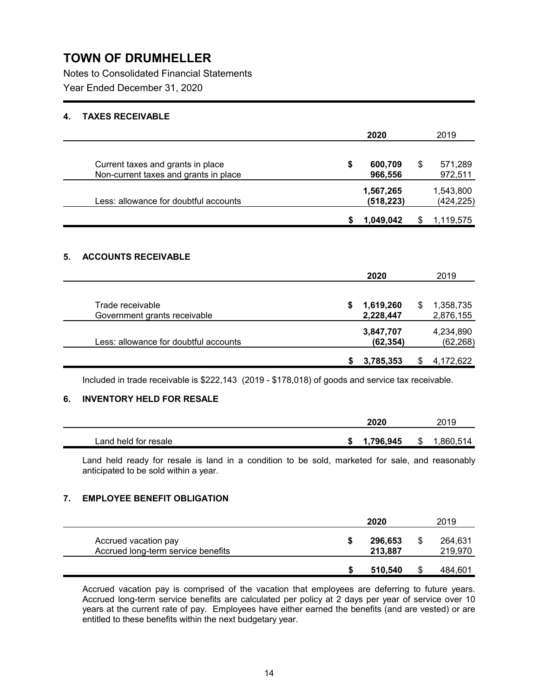Notes to Consolidated Financial Statements Year Ended December 31, 2020

### **4. TAXES RECEIVABLE**

|                                                                            |   | 2020                    |   | 2019                    |
|----------------------------------------------------------------------------|---|-------------------------|---|-------------------------|
| Current taxes and grants in place<br>Non-current taxes and grants in place | S | 600,709<br>966,556      | S | 571,289<br>972,511      |
| Less: allowance for doubtful accounts                                      |   | 1,567,265<br>(518, 223) |   | 1,543,800<br>(424, 225) |
|                                                                            | S | 1,049,042               |   | 1,119,575               |

## **5. ACCOUNTS RECEIVABLE**

|                                       |    | 2020      | 2019           |
|---------------------------------------|----|-----------|----------------|
|                                       |    |           |                |
| Trade receivable                      | S. | 1,619,260 | 1,358,735<br>S |
| Government grants receivable          |    | 2,228,447 | 2,876,155      |
|                                       |    | 3,847,707 | 4,234,890      |
| Less: allowance for doubtful accounts |    | (62, 354) | (62, 268)      |
|                                       |    |           |                |
|                                       |    | 3,785,353 | 4,172,622      |

Included in trade receivable is \$222,143 (2019 - \$178,018) of goods and service tax receivable.

## **6. INVENTORY HELD FOR RESALE**

|                      | 2020      | 2019           |
|----------------------|-----------|----------------|
| Land held for resale | 1.796.945 | ,860,514<br>\$ |

Land held ready for resale is land in a condition to be sold, marketed for sale, and reasonably anticipated to be sold within a year.

### **7. EMPLOYEE BENEFIT OBLIGATION**

|                                                            |   | 2020               |   | 2019               |
|------------------------------------------------------------|---|--------------------|---|--------------------|
| Accrued vacation pay<br>Accrued long-term service benefits | S | 296,653<br>213,887 |   | 264,631<br>219,970 |
|                                                            |   | 510.540            | S | 484,601            |

Accrued vacation pay is comprised of the vacation that employees are deferring to future years. Accrued long-term service benefits are calculated per policy at 2 days per year of service over 10 years at the current rate of pay. Employees have either earned the benefits (and are vested) or are entitled to these benefits within the next budgetary year.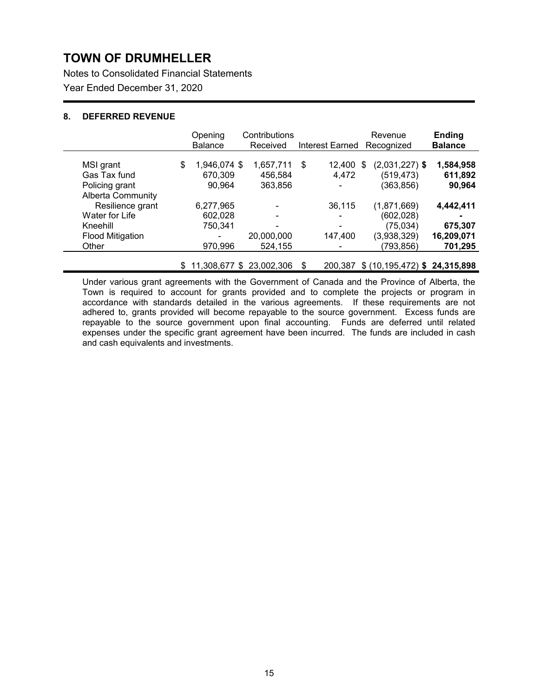Notes to Consolidated Financial Statements Year Ended December 31, 2020

### **8. DEFERRED REVENUE**

|                                            |    | Opening<br><b>Balance</b> | Contributions<br>Received |    | Interest Earned          | Revenue<br>Recognized               | <b>Ending</b><br><b>Balance</b> |
|--------------------------------------------|----|---------------------------|---------------------------|----|--------------------------|-------------------------------------|---------------------------------|
| MSI grant<br>Gas Tax fund                  | \$ | 1,946,074 \$<br>670,309   | 1,657,711<br>456,584      | \$ | 12,400<br>4,472          | $(2,031,227)$ \$<br>S<br>(519, 473) | 1,584,958<br>611,892            |
| Policing grant<br><b>Alberta Community</b> |    | 90,964                    | 363,856                   |    | $\overline{\phantom{0}}$ | (363, 856)                          | 90,964                          |
| Resilience grant                           |    | 6,277,965                 | ۰                         |    | 36,115                   | (1,871,669)                         | 4,442,411                       |
| Water for Life                             |    | 602,028                   | ۰                         |    | $\,$                     | (602, 028)                          | ۰                               |
| Kneehill                                   |    | 750,341                   | ۰                         |    |                          | (75, 034)                           | 675,307                         |
| <b>Flood Mitigation</b>                    |    |                           | 20,000,000                |    | 147,400                  | (3,938,329)                         | 16,209,071                      |
| Other                                      |    | 970,996                   | 524,155                   |    |                          | (793,856)                           | 701,295                         |
|                                            | S  |                           | 11,308,677 \$ 23,002,306  | S  | 200.387                  | \$ (10, 195, 472) \$ 24, 315, 898   |                                 |

Under various grant agreements with the Government of Canada and the Province of Alberta, the Town is required to account for grants provided and to complete the projects or program in accordance with standards detailed in the various agreements. If these requirements are not adhered to, grants provided will become repayable to the source government. Excess funds are repayable to the source government upon final accounting. Funds are deferred until related expenses under the specific grant agreement have been incurred. The funds are included in cash and cash equivalents and investments.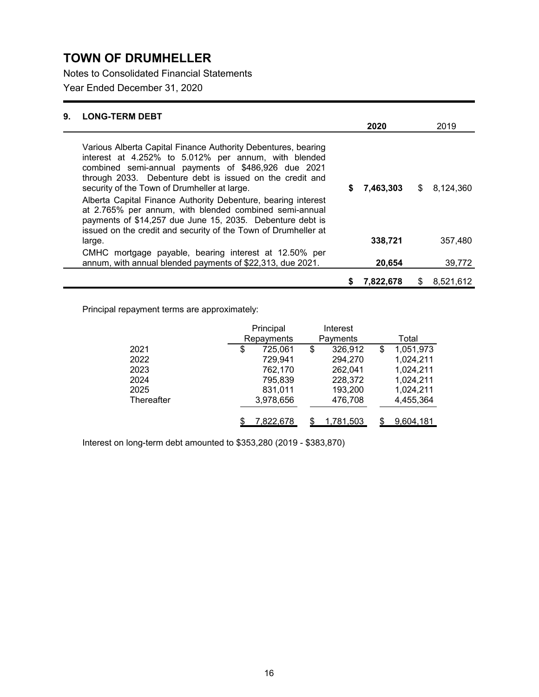Notes to Consolidated Financial Statements

Year Ended December 31, 2020

| 9. | <b>LONG-TERM DEBT</b>                                                                                                                                                                                                                                                                                                                                                                                                                                                            |    |           |                 |
|----|----------------------------------------------------------------------------------------------------------------------------------------------------------------------------------------------------------------------------------------------------------------------------------------------------------------------------------------------------------------------------------------------------------------------------------------------------------------------------------|----|-----------|-----------------|
|    |                                                                                                                                                                                                                                                                                                                                                                                                                                                                                  |    | 2020      | 2019            |
|    | Various Alberta Capital Finance Authority Debentures, bearing<br>interest at 4.252% to 5.012% per annum, with blended<br>combined semi-annual payments of \$486,926 due 2021<br>through 2033. Debenture debt is issued on the credit and<br>security of the Town of Drumheller at large.<br>Alberta Capital Finance Authority Debenture, bearing interest<br>at 2.765% per annum, with blended combined semi-annual<br>payments of \$14,257 due June 15, 2035. Debenture debt is | S  | 7,463,303 | \$8,124,360     |
|    | issued on the credit and security of the Town of Drumheller at<br>large.                                                                                                                                                                                                                                                                                                                                                                                                         |    | 338,721   | 357,480         |
|    | CMHC mortgage payable, bearing interest at 12.50% per<br>annum, with annual blended payments of \$22,313, due 2021.                                                                                                                                                                                                                                                                                                                                                              |    | 20.654    | 39,772          |
|    |                                                                                                                                                                                                                                                                                                                                                                                                                                                                                  | \$ | 7,822,678 | \$<br>8,521,612 |

Principal repayment terms are approximately:

|            |    | Principal<br>Interest<br>Repayments<br>Payments |    |           |                 |
|------------|----|-------------------------------------------------|----|-----------|-----------------|
|            |    |                                                 |    |           | Total           |
| 2021       | \$ | 725,061                                         | \$ | 326,912   | \$<br>1,051,973 |
| 2022       |    | 729,941                                         |    | 294,270   | 1,024,211       |
| 2023       |    | 762,170                                         |    | 262,041   | 1,024,211       |
| 2024       |    | 795,839                                         |    | 228,372   | 1,024,211       |
| 2025       |    | 831,011                                         |    | 193,200   | 1,024,211       |
| Thereafter |    | 3,978,656                                       |    | 476,708   | 4,455,364       |
|            |    |                                                 |    |           |                 |
|            |    | 7,822,678                                       |    | 1,781,503 | 9,604,181       |

Interest on long-term debt amounted to \$353,280 (2019 - \$383,870)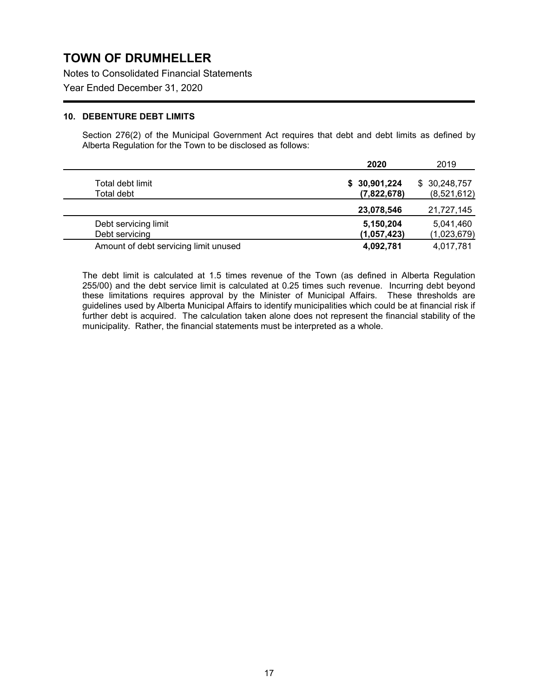Notes to Consolidated Financial Statements

Year Ended December 31, 2020

### **10. DEBENTURE DEBT LIMITS**

Section 276(2) of the Municipal Government Act requires that debt and debt limits as defined by Alberta Regulation for the Town to be disclosed as follows:

|                                       | 2020         | 2019         |
|---------------------------------------|--------------|--------------|
| Total debt limit                      | \$30,901,224 | \$30,248,757 |
| Total debt                            | (7,822,678)  | (8,521,612)  |
|                                       | 23,078,546   | 21,727,145   |
| Debt servicing limit                  | 5,150,204    | 5,041,460    |
| Debt servicing                        | (1,057,423)  | (1,023,679)  |
| Amount of debt servicing limit unused | 4,092,781    | 4,017,781    |

The debt limit is calculated at 1.5 times revenue of the Town (as defined in Alberta Regulation 255/00) and the debt service limit is calculated at 0.25 times such revenue. Incurring debt beyond these limitations requires approval by the Minister of Municipal Affairs. These thresholds are guidelines used by Alberta Municipal Affairs to identify municipalities which could be at financial risk if further debt is acquired. The calculation taken alone does not represent the financial stability of the municipality. Rather, the financial statements must be interpreted as a whole.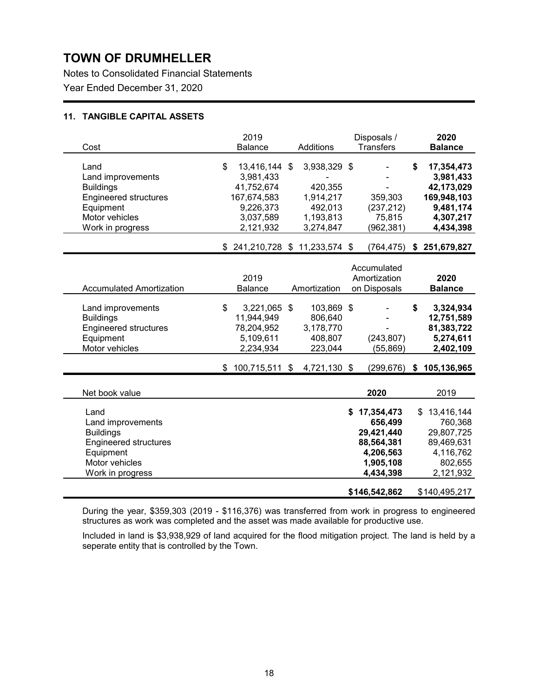Notes to Consolidated Financial Statements Year Ended December 31, 2020

### **11. TANGIBLE CAPITAL ASSETS**

| 2019<br><b>Balance</b> | Additions | Disposals /<br><b>Transfers</b>                                                                                                                                                           | 2020<br><b>Balance</b>                                                                                                                                                                                 |
|------------------------|-----------|-------------------------------------------------------------------------------------------------------------------------------------------------------------------------------------------|--------------------------------------------------------------------------------------------------------------------------------------------------------------------------------------------------------|
| \$                     |           | 359,303<br>(237, 212)<br>75,815<br>(962,381)                                                                                                                                              | \$<br>17,354,473<br>3,981,433<br>42,173,029<br>169,948,103<br>9,481,174<br>4,307,217<br>4,434,398                                                                                                      |
|                        |           |                                                                                                                                                                                           | $(764, 475)$ \$ 251,679,827                                                                                                                                                                            |
| 2019<br>Balance        |           | Accumulated<br>Amortization<br>on Disposals                                                                                                                                               | 2020<br><b>Balance</b>                                                                                                                                                                                 |
| \$                     |           | (243, 807)<br>(55, 869)                                                                                                                                                                   | \$<br>3,324,934<br>12,751,589<br>81,383,722<br>5,274,611<br>2,402,109                                                                                                                                  |
|                        |           |                                                                                                                                                                                           | $(299, 676)$ \$ 105,136,965                                                                                                                                                                            |
|                        |           | 2020                                                                                                                                                                                      | 2019                                                                                                                                                                                                   |
|                        |           | 17,354,473<br>\$<br>656,499<br>29,421,440<br>88,564,381<br>4,206,563<br>1,905,108<br>4,434,398<br>\$146,542,862                                                                           | 13,416,144<br>\$<br>760,368<br>29,807,725<br>89,469,631<br>4,116,762<br>802,655<br>2,121,932<br>\$140,495,217                                                                                          |
|                        |           | 13,416,144 \$<br>3,981,433<br>41,752,674<br>167,674,583<br>9,226,373<br>3,037,589<br>2,121,932<br>3,221,065 \$<br>11,944,949<br>78,204,952<br>5,109,611<br>2,234,934<br>$$100,715,511$ \$ | 3,938,329 \$<br>420,355<br>1,914,217<br>492,013<br>1,193,813<br>3,274,847<br>\$241,210,728 \$11,233,574 \$<br>Amortization<br>103,869 \$<br>806,640<br>3,178,770<br>408,807<br>223,044<br>4,721,130 \$ |

During the year, \$359,303 (2019 - \$116,376) was transferred from work in progress to engineered structures as work was completed and the asset was made available for productive use.

Included in land is \$3,938,929 of land acquired for the flood mitigation project. The land is held by a seperate entity that is controlled by the Town.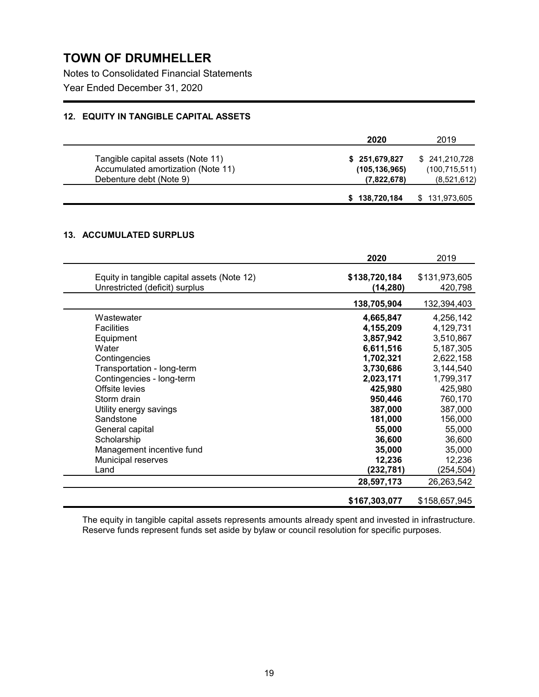Notes to Consolidated Financial Statements Year Ended December 31, 2020

### **12. EQUITY IN TANGIBLE CAPITAL ASSETS**

|                                                                         | 2020                           | 2019                           |
|-------------------------------------------------------------------------|--------------------------------|--------------------------------|
| Tangible capital assets (Note 11)<br>Accumulated amortization (Note 11) | \$251,679,827                  | \$241,210,728                  |
| Debenture debt (Note 9)                                                 | (105, 136, 965)<br>(7,822,678) | (100, 715, 511)<br>(8,521,612) |
|                                                                         | \$138,720,184                  | \$131,973,605                  |

## **13. ACCUMULATED SURPLUS**

|                                                                               | 2020                       | 2019                     |
|-------------------------------------------------------------------------------|----------------------------|--------------------------|
| Equity in tangible capital assets (Note 12)<br>Unrestricted (deficit) surplus | \$138,720,184<br>(14, 280) | \$131,973,605<br>420,798 |
|                                                                               | 138,705,904                | 132,394,403              |
| Wastewater                                                                    | 4,665,847                  | 4,256,142                |
| <b>Facilities</b>                                                             | 4,155,209                  | 4,129,731                |
| Equipment                                                                     | 3,857,942                  | 3,510,867                |
| Water                                                                         | 6,611,516                  | 5,187,305                |
| Contingencies                                                                 | 1,702,321                  | 2,622,158                |
| Transportation - long-term                                                    | 3,730,686                  | 3,144,540                |
| Contingencies - long-term                                                     | 2,023,171                  | 1,799,317                |
| Offsite levies                                                                | 425,980                    | 425,980                  |
| Storm drain                                                                   | 950,446                    | 760,170                  |
| Utility energy savings                                                        | 387,000                    | 387,000                  |
| Sandstone                                                                     | 181,000                    | 156,000                  |
| General capital                                                               | 55,000                     | 55,000                   |
| Scholarship                                                                   | 36,600                     | 36,600                   |
| Management incentive fund                                                     | 35,000                     | 35,000                   |
| Municipal reserves                                                            | 12,236                     | 12,236                   |
| Land                                                                          | (232,781)                  | (254, 504)               |
|                                                                               | 28,597,173                 | 26,263,542               |
|                                                                               | \$167,303,077              | \$158,657,945            |

The equity in tangible capital assets represents amounts already spent and invested in infrastructure. Reserve funds represent funds set aside by bylaw or council resolution for specific purposes.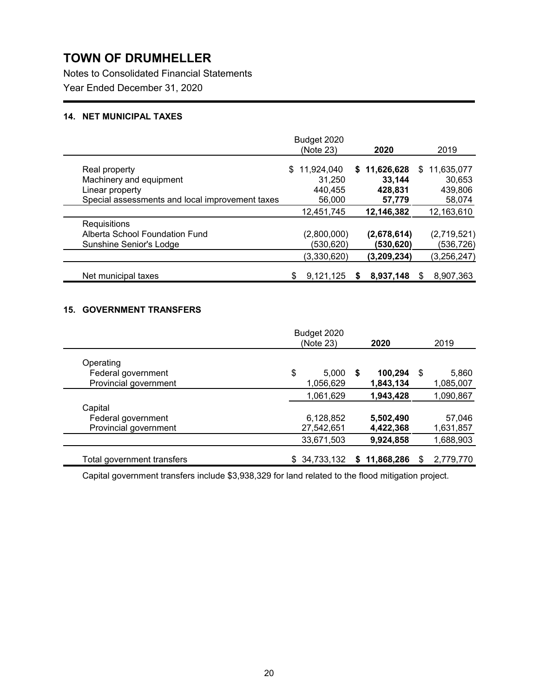Notes to Consolidated Financial Statements Year Ended December 31, 2020

### **14. NET MUNICIPAL TAXES**

|                                                 | Budget 2020<br>(Note 23) | 2020         | 2019              |
|-------------------------------------------------|--------------------------|--------------|-------------------|
|                                                 | 11.924.040<br>\$.        | \$11,626,628 | 11,635,077<br>\$. |
| Real property                                   |                          |              |                   |
| Machinery and equipment                         | 31,250                   | 33.144       | 30,653            |
| Linear property                                 | 440,455                  | 428,831      | 439,806           |
| Special assessments and local improvement taxes | 56,000                   | 57,779       | 58,074            |
|                                                 | 12,451,745               | 12,146,382   | 12,163,610        |
| Requisitions                                    |                          |              |                   |
| Alberta School Foundation Fund                  | (2,800,000)              | (2,678,614)  | (2,719,521)       |
| Sunshine Senior's Lodge                         | (530, 620)               | (530,620)    | (536,726)         |
|                                                 | (3,330,620)              | (3,209,234)  | (3,256,247)       |
|                                                 |                          |              |                   |
| Net municipal taxes                             | 9,121,125                | 8,937,148    | 8,907,363         |

### **15. GOVERNMENT TRANSFERS**

|                            | Budget 2020  |   |              |    |           |
|----------------------------|--------------|---|--------------|----|-----------|
|                            | (Note 23)    |   | 2020         |    | 2019      |
| Operating                  |              |   |              |    |           |
| Federal government         | \$<br>5,000  | S | 100,294      | \$ | 5,860     |
| Provincial government      | 1,056,629    |   | 1,843,134    |    | 1,085,007 |
|                            | 1,061,629    |   | 1,943,428    |    | 1,090,867 |
| Capital                    |              |   |              |    |           |
| Federal government         | 6,128,852    |   | 5,502,490    |    | 57,046    |
| Provincial government      | 27,542,651   |   | 4,422,368    |    | 1,631,857 |
|                            | 33,671,503   |   | 9,924,858    |    | 1,688,903 |
| Total government transfers | \$34,733,132 |   | \$11,868,286 | S  | 2,779,770 |

Capital government transfers include \$3,938,329 for land related to the flood mitigation project.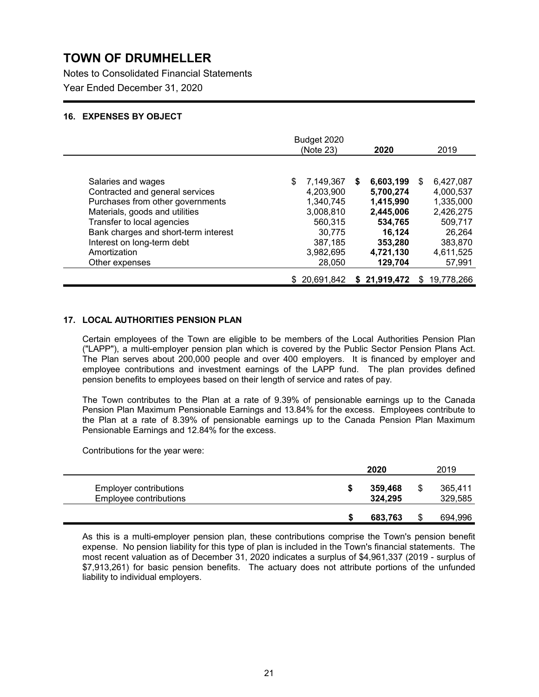Notes to Consolidated Financial Statements Year Ended December 31, 2020

### **16. EXPENSES BY OBJECT**

|                                      | Budget 2020<br>(Note 23) | 2020           | 2019             |
|--------------------------------------|--------------------------|----------------|------------------|
|                                      |                          |                |                  |
| Salaries and wages                   | \$<br>7,149,367          | 6,603,199<br>S | 6,427,087<br>\$  |
| Contracted and general services      | 4,203,900                | 5,700,274      | 4,000,537        |
| Purchases from other governments     | 1,340,745                | 1,415,990      | 1,335,000        |
| Materials, goods and utilities       | 3,008,810                | 2,445,006      | 2,426,275        |
| Transfer to local agencies           | 560,315                  | 534,765        | 509,717          |
| Bank charges and short-term interest | 30,775                   | 16,124         | 26,264           |
| Interest on long-term debt           | 387,185                  | 353,280        | 383,870          |
| Amortization                         | 3.982.695                | 4,721,130      | 4,611,525        |
| Other expenses                       | 28,050                   | 129,704        | 57,991           |
|                                      | \$20.691.842             | \$21,919,472   | 19.778.266<br>S. |

### **17. LOCAL AUTHORITIES PENSION PLAN**

Certain employees of the Town are eligible to be members of the Local Authorities Pension Plan ("LAPP"), a multi-employer pension plan which is covered by the Public Sector Pension Plans Act. The Plan serves about 200,000 people and over 400 employers. It is financed by employer and employee contributions and investment earnings of the LAPP fund. The plan provides defined pension benefits to employees based on their length of service and rates of pay.

The Town contributes to the Plan at a rate of 9.39% of pensionable earnings up to the Canada Pension Plan Maximum Pensionable Earnings and 13.84% for the excess. Employees contribute to the Plan at a rate of 8.39% of pensionable earnings up to the Canada Pension Plan Maximum Pensionable Earnings and 12.84% for the excess.

Contributions for the year were:

|                                                  | 2020               |   | 2019               |
|--------------------------------------------------|--------------------|---|--------------------|
| Employer contributions<br>Employee contributions | 359,468<br>324,295 | S | 365,411<br>329,585 |
|                                                  | 683.763            |   | 694,996            |

As this is a multi-employer pension plan, these contributions comprise the Town's pension benefit expense. No pension liability for this type of plan is included in the Town's financial statements. The most recent valuation as of December 31, 2020 indicates a surplus of \$4,961,337 (2019 - surplus of \$7,913,261) for basic pension benefits. The actuary does not attribute portions of the unfunded liability to individual employers.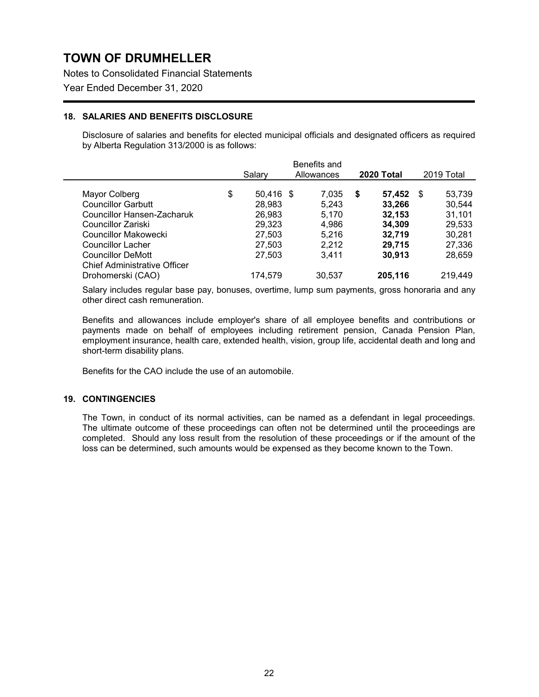Notes to Consolidated Financial Statements

Year Ended December 31, 2020

### **18. SALARIES AND BENEFITS DISCLOSURE**

Disclosure of salaries and benefits for elected municipal officials and designated officers as required by Alberta Regulation 313/2000 is as follows:

|                                                          | Benefits and<br><b>2020 Total</b> |                     |  |                |    |                  |                        |
|----------------------------------------------------------|-----------------------------------|---------------------|--|----------------|----|------------------|------------------------|
|                                                          |                                   | Salarv              |  | Allowances     |    |                  | 2019 Total             |
| Mayor Colberg<br><b>Councillor Garbutt</b>               | \$                                | 50,416 \$<br>28,983 |  | 7,035<br>5,243 | \$ | 57,452<br>33,266 | \$<br>53,739<br>30,544 |
| Councillor Hansen-Zacharuk                               |                                   | 26,983              |  | 5.170          |    | 32,153           | 31,101                 |
| Councillor Zariski                                       |                                   | 29,323              |  | 4,986          |    | 34,309           | 29,533                 |
| Councillor Makowecki                                     |                                   | 27,503              |  | 5.216          |    | 32,719           | 30,281                 |
| <b>Councillor Lacher</b>                                 |                                   | 27,503              |  | 2,212          |    | 29,715           | 27,336                 |
| <b>Councillor DeMott</b>                                 |                                   | 27,503              |  | 3.411          |    | 30,913           | 28,659                 |
| <b>Chief Administrative Officer</b><br>Drohomerski (CAO) |                                   | 174,579             |  | 30,537         |    | 205,116          | 219,449                |

Salary includes regular base pay, bonuses, overtime, lump sum payments, gross honoraria and any other direct cash remuneration.

Benefits and allowances include employer's share of all employee benefits and contributions or payments made on behalf of employees including retirement pension, Canada Pension Plan, employment insurance, health care, extended health, vision, group life, accidental death and long and short-term disability plans.

Benefits for the CAO include the use of an automobile.

### **19. CONTINGENCIES**

The Town, in conduct of its normal activities, can be named as a defendant in legal proceedings. The ultimate outcome of these proceedings can often not be determined until the proceedings are completed. Should any loss result from the resolution of these proceedings or if the amount of the loss can be determined, such amounts would be expensed as they become known to the Town.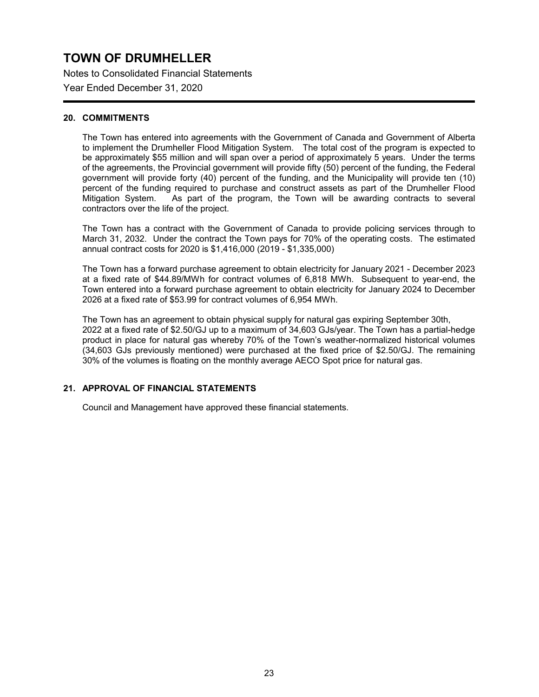Notes to Consolidated Financial Statements

Year Ended December 31, 2020

### **20. COMMITMENTS**

The Town has entered into agreements with the Government of Canada and Government of Alberta to implement the Drumheller Flood Mitigation System. The total cost of the program is expected to be approximately \$55 million and will span over a period of approximately 5 years. Under the terms of the agreements, the Provincial government will provide fifty (50) percent of the funding, the Federal government will provide forty (40) percent of the funding, and the Municipality will provide ten (10) percent of the funding required to purchase and construct assets as part of the Drumheller Flood Mitigation System. As part of the program, the Town will be awarding contracts to several contractors over the life of the project.

The Town has a contract with the Government of Canada to provide policing services through to March 31, 2032. Under the contract the Town pays for 70% of the operating costs. The estimated annual contract costs for 2020 is \$1,416,000 (2019 - \$1,335,000)

The Town has a forward purchase agreement to obtain electricity for January 2021 - December 2023 at a fixed rate of \$44.89/MWh for contract volumes of 6,818 MWh. Subsequent to year-end, the Town entered into a forward purchase agreement to obtain electricity for January 2024 to December 2026 at a fixed rate of \$53.99 for contract volumes of 6,954 MWh.

The Town has an agreement to obtain physical supply for natural gas expiring September 30th, 2022 at a fixed rate of \$2.50/GJ up to a maximum of 34,603 GJs/year. The Town has a partial-hedge product in place for natural gas whereby 70% of the Town's weather-normalized historical volumes (34,603 GJs previously mentioned) were purchased at the fixed price of \$2.50/GJ. The remaining 30% of the volumes is floating on the monthly average AECO Spot price for natural gas.

### **21. APPROVAL OF FINANCIAL STATEMENTS**

Council and Management have approved these financial statements.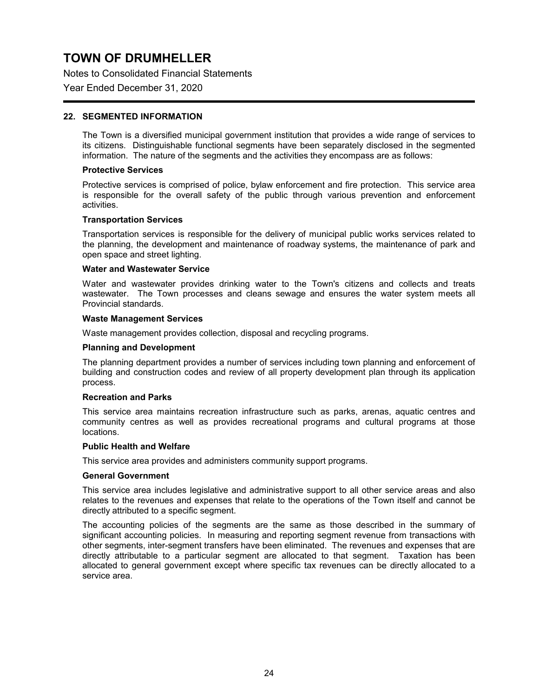Notes to Consolidated Financial Statements

Year Ended December 31, 2020

### **22. SEGMENTED INFORMATION**

The Town is a diversified municipal government institution that provides a wide range of services to its citizens. Distinguishable functional segments have been separately disclosed in the segmented information. The nature of the segments and the activities they encompass are as follows:

#### **Protective Services**

Protective services is comprised of police, bylaw enforcement and fire protection. This service area is responsible for the overall safety of the public through various prevention and enforcement activities.

#### **Transportation Services**

Transportation services is responsible for the delivery of municipal public works services related to the planning, the development and maintenance of roadway systems, the maintenance of park and open space and street lighting.

### **Water and Wastewater Service**

Water and wastewater provides drinking water to the Town's citizens and collects and treats wastewater. The Town processes and cleans sewage and ensures the water system meets all Provincial standards.

#### **Waste Management Services**

Waste management provides collection, disposal and recycling programs.

#### **Planning and Development**

The planning department provides a number of services including town planning and enforcement of building and construction codes and review of all property development plan through its application process.

#### **Recreation and Parks**

This service area maintains recreation infrastructure such as parks, arenas, aquatic centres and community centres as well as provides recreational programs and cultural programs at those locations.

#### **Public Health and Welfare**

This service area provides and administers community support programs.

#### **General Government**

This service area includes legislative and administrative support to all other service areas and also relates to the revenues and expenses that relate to the operations of the Town itself and cannot be directly attributed to a specific segment.

The accounting policies of the segments are the same as those described in the summary of significant accounting policies. In measuring and reporting segment revenue from transactions with other segments, inter-segment transfers have been eliminated. The revenues and expenses that are directly attributable to a particular segment are allocated to that segment. Taxation has been allocated to general government except where specific tax revenues can be directly allocated to a service area.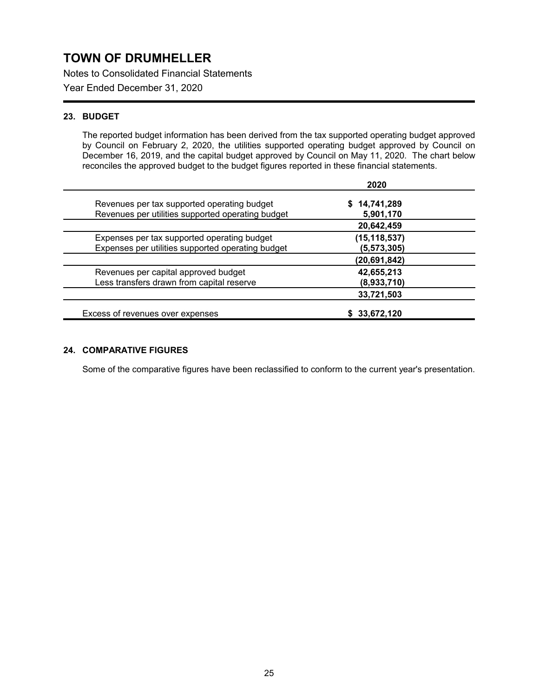Notes to Consolidated Financial Statements

Year Ended December 31, 2020

### **23. BUDGET**

The reported budget information has been derived from the tax supported operating budget approved by Council on February 2, 2020, the utilities supported operating budget approved by Council on December 16, 2019, and the capital budget approved by Council on May 11, 2020. The chart below reconciles the approved budget to the budget figures reported in these financial statements.

|                                                   | 2020           |
|---------------------------------------------------|----------------|
| Revenues per tax supported operating budget       | \$14,741,289   |
| Revenues per utilities supported operating budget | 5,901,170      |
|                                                   | 20,642,459     |
| Expenses per tax supported operating budget       | (15, 118, 537) |
| Expenses per utilities supported operating budget | (5, 573, 305)  |
|                                                   | (20,691,842)   |
| Revenues per capital approved budget              | 42,655,213     |
| Less transfers drawn from capital reserve         | (8,933,710)    |
|                                                   | 33,721,503     |
| Excess of revenues over expenses                  | \$ 33,672,120  |

### **24. COMPARATIVE FIGURES**

Some of the comparative figures have been reclassified to conform to the current year's presentation.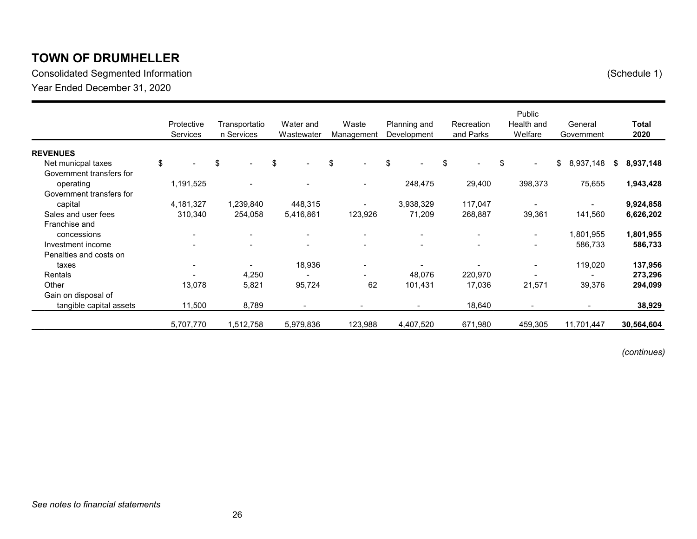Consolidated Segmented Information (Schedule 1) Year Ended December 31, 2020

|                          | Protective<br><b>Services</b> | Transportatio<br>n Services    | Water and<br>Wastewater  | Waste<br>Management            | Planning and<br>Development | Recreation<br>and Parks | Public<br>Health and<br>Welfare | General<br>Government    | <b>Total</b><br>2020 |
|--------------------------|-------------------------------|--------------------------------|--------------------------|--------------------------------|-----------------------------|-------------------------|---------------------------------|--------------------------|----------------------|
| <b>REVENUES</b>          |                               |                                |                          |                                |                             |                         |                                 |                          |                      |
| Net municpal taxes       | \$                            | \$<br>$\overline{\phantom{a}}$ | \$<br>$\blacksquare$     | \$<br>$\overline{\phantom{a}}$ | \$                          | \$<br>$\sim$            | \$<br>$\blacksquare$            | \$<br>8,937,148          | 8,937,148<br>s.      |
| Government transfers for |                               |                                |                          |                                |                             |                         |                                 |                          |                      |
| operating                | 1,191,525                     |                                |                          | $\overline{\phantom{a}}$       | 248,475                     | 29,400                  | 398,373                         | 75,655                   | 1,943,428            |
| Government transfers for |                               |                                |                          |                                |                             |                         |                                 |                          |                      |
| capital                  | 4,181,327                     | 1,239,840                      | 448,315                  | $\overline{\phantom{a}}$       | 3,938,329                   | 117,047                 |                                 |                          | 9,924,858            |
| Sales and user fees      | 310,340                       | 254,058                        | 5,416,861                | 123,926                        | 71,209                      | 268,887                 | 39,361                          | 141,560                  | 6,626,202            |
| Franchise and            |                               |                                |                          |                                |                             |                         |                                 |                          |                      |
| concessions              | $\blacksquare$                | $\overline{\phantom{a}}$       | $\overline{\phantom{a}}$ | $\overline{\phantom{a}}$       |                             |                         | $\blacksquare$                  | 1,801,955                | 1,801,955            |
| Investment income        |                               |                                | $\overline{\phantom{a}}$ | $\blacksquare$                 |                             |                         | $\overline{\phantom{a}}$        | 586,733                  | 586,733              |
| Penalties and costs on   |                               |                                |                          |                                |                             |                         |                                 |                          |                      |
| taxes                    | $\qquad \qquad \blacksquare$  |                                | 18,936                   | $\overline{\phantom{a}}$       |                             |                         | $\blacksquare$                  | 119,020                  | 137,956              |
| Rentals                  |                               | 4,250                          |                          |                                | 48,076                      | 220,970                 |                                 |                          | 273,296              |
| Other                    | 13,078                        | 5,821                          | 95,724                   | 62                             | 101,431                     | 17,036                  | 21,571                          | 39,376                   | 294,099              |
| Gain on disposal of      |                               |                                |                          |                                |                             |                         |                                 |                          |                      |
| tangible capital assets  | 11,500                        | 8,789                          |                          |                                |                             | 18,640                  |                                 | $\overline{\phantom{a}}$ | 38,929               |
|                          | 5,707,770                     | 1,512,758                      | 5,979,836                | 123,988                        | 4,407,520                   | 671,980                 | 459,305                         | 11,701,447               | 30,564,604           |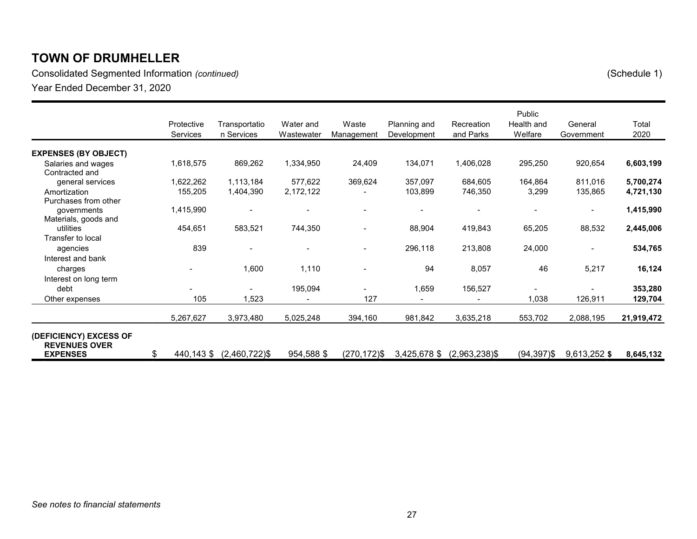Consolidated Segmented Information *(continued)* (Schedule 1) Year Ended December 31, 2020

|                                                |            |                          |            |             |              |                  | Public         | General                  |            |
|------------------------------------------------|------------|--------------------------|------------|-------------|--------------|------------------|----------------|--------------------------|------------|
|                                                | Protective | Transportatio            | Water and  | Waste       | Planning and | Recreation       | Health and     |                          | Total      |
|                                                | Services   | n Services               | Wastewater | Management  | Development  | and Parks        | Welfare        | Government               | 2020       |
| <b>EXPENSES (BY OBJECT)</b>                    |            |                          |            |             |              |                  |                |                          |            |
| Salaries and wages<br>Contracted and           | 1,618,575  | 869,262                  | 1,334,950  | 24,409      | 134,071      | 1,406,028        | 295,250        | 920,654                  | 6,603,199  |
| general services                               | 1,622,262  | 1,113,184                | 577,622    | 369,624     | 357,097      | 684,605          | 164,864        | 811,016                  | 5,700,274  |
| Amortization                                   | 155,205    | 1,404,390                | 2,172,122  |             | 103,899      | 746,350          | 3,299          | 135,865                  | 4,721,130  |
| Purchases from other                           |            |                          |            |             |              |                  |                |                          |            |
| governments                                    | 1,415,990  |                          |            |             |              |                  |                | $\overline{\phantom{a}}$ | 1,415,990  |
| Materials, goods and<br>utilities              | 454,651    | 583,521                  | 744,350    |             | 88,904       | 419,843          | 65,205         | 88,532                   | 2,445,006  |
| Transfer to local                              |            |                          |            |             |              |                  |                |                          |            |
| agencies                                       | 839        | $\overline{\phantom{0}}$ |            |             | 296,118      | 213,808          | 24,000         | $\overline{\phantom{a}}$ | 534,765    |
| Interest and bank                              |            |                          |            |             |              |                  |                |                          |            |
| charges                                        |            | 1,600                    | 1,110      |             | 94           | 8,057            | 46             | 5,217                    | 16,124     |
| Interest on long term                          |            |                          |            |             |              |                  |                |                          |            |
| debt                                           |            |                          | 195,094    |             | 1,659        | 156,527          |                |                          | 353,280    |
| Other expenses                                 | 105        | 1,523                    |            | 127         |              |                  | 1,038          | 126,911                  | 129,704    |
|                                                | 5,267,627  | 3,973,480                | 5,025,248  | 394,160     | 981,842      | 3,635,218        | 553,702        | 2,088,195                | 21,919,472 |
| (DEFICIENCY) EXCESS OF<br><b>REVENUES OVER</b> |            |                          |            |             |              |                  |                |                          |            |
| <b>EXPENSES</b>                                | \$         | 440,143 \$ (2,460,722)\$ | 954,588 \$ | (270,172)\$ | 3,425,678 \$ | $(2,963,238)$ \$ | $(94, 397)$ \$ | 9,613,252 \$             | 8,645,132  |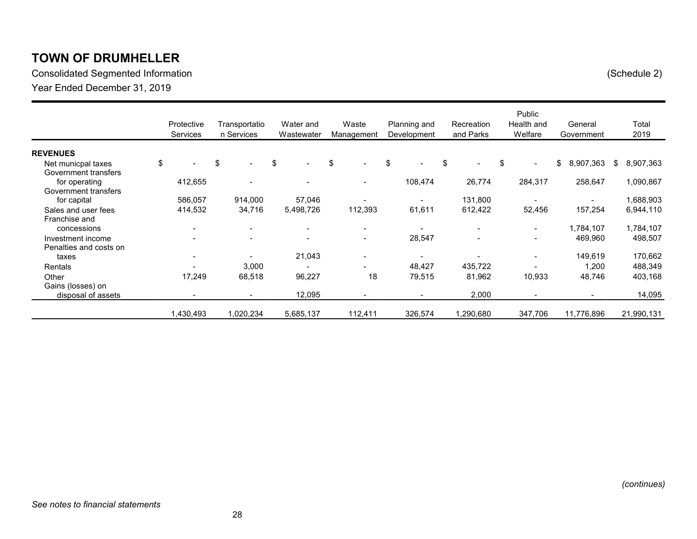Consolidated Segmented Information (Schedule 2) Year Ended December 31, 2019

|                                            | Protective<br><b>Services</b> | Transportatio<br>n Services    | Water and<br>Wastewater        | Waste<br>Management      | Planning and<br>Development | Recreation<br>and Parks | Public<br>Health and<br>Welfare | General<br>Government    |     | Total<br>2019 |
|--------------------------------------------|-------------------------------|--------------------------------|--------------------------------|--------------------------|-----------------------------|-------------------------|---------------------------------|--------------------------|-----|---------------|
| <b>REVENUES</b>                            |                               |                                |                                |                          |                             |                         |                                 |                          |     |               |
| Net municpal taxes<br>Government transfers | \$                            | \$<br>$\overline{\phantom{0}}$ | \$<br>$\overline{\phantom{a}}$ | \$<br>$\sim$             | \$                          | \$                      | \$<br>$\blacksquare$            | \$<br>8,907,363          | \$. | 8,907,363     |
| for operating                              | 412,655                       | $\overline{\phantom{a}}$       |                                | $\blacksquare$           | 108,474                     | 26,774                  | 284,317                         | 258,647                  |     | 1,090,867     |
| Government transfers<br>for capital        | 586,057                       | 914,000                        | 57,046                         | Ξ.                       |                             | 131,800                 | $\overline{\phantom{a}}$        | $\overline{\phantom{a}}$ |     | 1,688,903     |
| Sales and user fees                        | 414,532                       | 34,716                         | 5,498,726                      | 112,393                  | 61,611                      | 612,422                 | 52,456                          | 157,254                  |     | 6,944,110     |
| Franchise and<br>concessions               | $\overline{\phantom{a}}$      | $\overline{\phantom{0}}$       | $\overline{\phantom{0}}$       | $\overline{\phantom{a}}$ |                             |                         | $\blacksquare$                  | 1,784,107                |     | 1,784,107     |
| Investment income                          |                               | $\overline{\phantom{a}}$       | $\overline{\phantom{a}}$       | $\overline{\phantom{a}}$ | 28,547                      |                         | $\overline{\phantom{a}}$        | 469,960                  |     | 498,507       |
| Penalties and costs on<br>taxes            | $\overline{\phantom{0}}$      | $\overline{\phantom{a}}$       | 21,043                         | $\overline{\phantom{a}}$ |                             |                         | $\blacksquare$                  | 149,619                  |     | 170,662       |
| Rentals                                    |                               | 3,000                          |                                |                          | 48,427                      | 435,722                 |                                 | 1,200                    |     | 488,349       |
| Other<br>Gains (losses) on                 | 17,249                        | 68,518                         | 96,227                         | 18                       | 79,515                      | 81,962                  | 10,933                          | 48,746                   |     | 403,168       |
| disposal of assets                         |                               | $\overline{\phantom{0}}$       | 12,095                         | -                        | $\overline{\phantom{a}}$    | 2,000                   | $\overline{\phantom{a}}$        | $\overline{\phantom{a}}$ |     | 14,095        |
|                                            | 1,430,493                     | 1,020,234                      | 5,685,137                      | 112,411                  | 326,574                     | ,290,680                | 347,706                         | 11,776,896               |     | 21,990,131    |